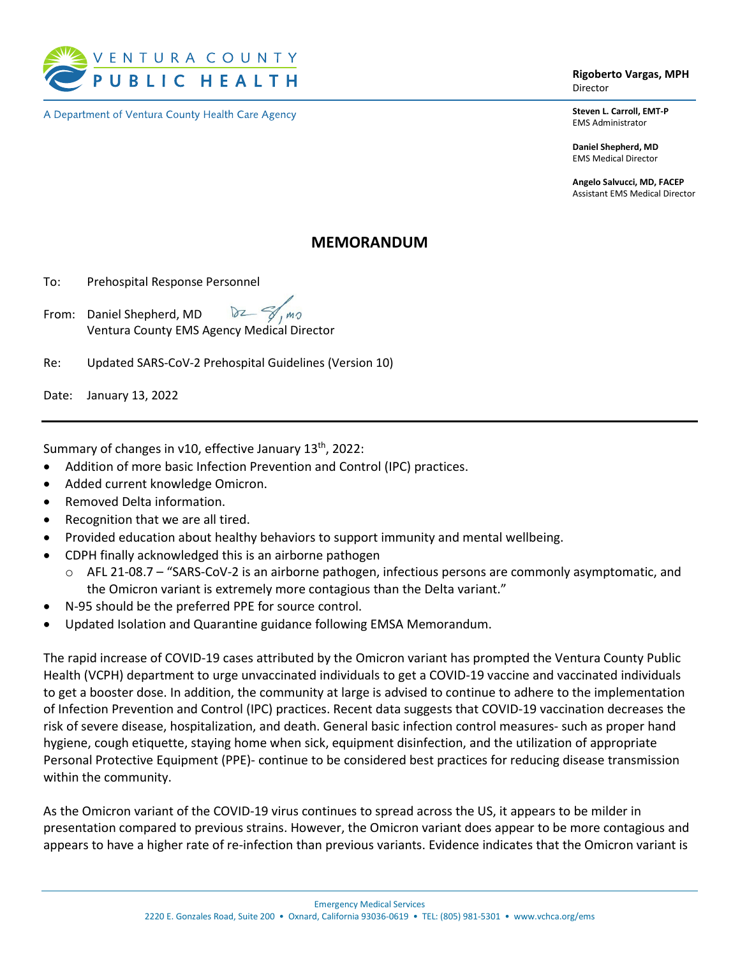

A Department of Ventura County Health Care Agency

**Rigoberto Vargas, MPH** Director

**Steven L. Carroll, EMT-P** EMS Administrator

**Daniel Shepherd, MD** EMS Medical Director

**Angelo Salvucci, MD, FACEP** Assistant EMS Medical Director

## **MEMORANDUM**

To: Prehospital Response Personnel

From: Daniel Shepherd, MD  $\delta z$ Ventura County EMS Agency Medical Director

Re: Updated SARS-CoV-2 Prehospital Guidelines (Version 10)

Date: January 13, 2022

Summary of changes in v10, effective January 13th, 2022:

- Addition of more basic Infection Prevention and Control (IPC) practices.
- Added current knowledge Omicron.
- Removed Delta information.
- Recognition that we are all tired.
- Provided education about healthy behaviors to support immunity and mental wellbeing.
- CDPH finally acknowledged this is an airborne pathogen
	- o AFL 21-08.7 "SARS-CoV-2 is an airborne pathogen, infectious persons are commonly asymptomatic, and the Omicron variant is extremely more contagious than the Delta variant."
- N-95 should be the preferred PPE for source control.
- Updated Isolation and Quarantine guidance following EMSA Memorandum.

The rapid increase of COVID-19 cases attributed by the Omicron variant has prompted the Ventura County Public Health (VCPH) department to urge unvaccinated individuals to get a COVID-19 vaccine and vaccinated individuals to get a booster dose. In addition, the community at large is advised to continue to adhere to the implementation of Infection Prevention and Control (IPC) practices. Recent data suggests that COVID-19 vaccination decreases the risk of severe disease, hospitalization, and death. General basic infection control measures- such as proper hand hygiene, cough etiquette, staying home when sick, equipment disinfection, and the utilization of appropriate Personal Protective Equipment (PPE)- continue to be considered best practices for reducing disease transmission within the community.

As the Omicron variant of the COVID-19 virus continues to spread across the US, it appears to be milder in presentation compared to previous strains. However, the Omicron variant does appear to be more contagious and appears to have a higher rate of re-infection than previous variants. Evidence indicates that the Omicron variant is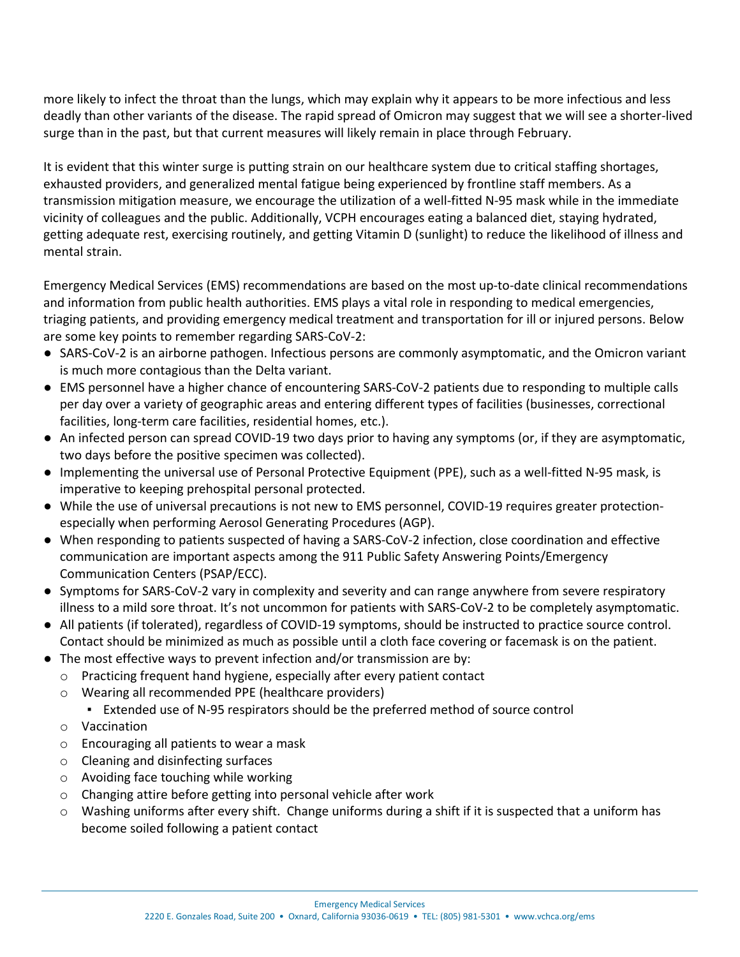more likely to infect the throat than the lungs, which may explain why it appears to be more infectious and less deadly than other variants of the disease. The rapid spread of Omicron may suggest that we will see a shorter-lived surge than in the past, but that current measures will likely remain in place through February.

It is evident that this winter surge is putting strain on our healthcare system due to critical staffing shortages, exhausted providers, and generalized mental fatigue being experienced by frontline staff members. As a transmission mitigation measure, we encourage the utilization of a well-fitted N-95 mask while in the immediate vicinity of colleagues and the public. Additionally, VCPH encourages eating a balanced diet, staying hydrated, getting adequate rest, exercising routinely, and getting Vitamin D (sunlight) to reduce the likelihood of illness and mental strain.

Emergency Medical Services (EMS) recommendations are based on the most up-to-date clinical recommendations and information from public health authorities. EMS plays a vital role in responding to medical emergencies, triaging patients, and providing emergency medical treatment and transportation for ill or injured persons. Below are some key points to remember regarding SARS-CoV-2:

- SARS-CoV-2 is an airborne pathogen. Infectious persons are commonly asymptomatic, and the Omicron variant is much more contagious than the Delta variant.
- EMS personnel have a higher chance of encountering SARS-CoV-2 patients due to responding to multiple calls per day over a variety of geographic areas and entering different types of facilities (businesses, correctional facilities, long-term care facilities, residential homes, etc.).
- An infected person can spread COVID-19 two days prior to having any symptoms (or, if they are asymptomatic, two days before the positive specimen was collected).
- Implementing the universal use of Personal Protective Equipment (PPE), such as a well-fitted N-95 mask, is imperative to keeping prehospital personal protected.
- While the use of universal precautions is not new to EMS personnel, COVID-19 requires greater protectionespecially when performing Aerosol Generating Procedures (AGP).
- When responding to patients suspected of having a SARS-CoV-2 infection, close coordination and effective communication are important aspects among the 911 Public Safety Answering Points/Emergency Communication Centers (PSAP/ECC).
- Symptoms for SARS-CoV-2 vary in complexity and severity and can range anywhere from severe respiratory illness to a mild sore throat. It's not uncommon for patients with SARS-CoV-2 to be completely asymptomatic.
- All patients (if tolerated), regardless of COVID-19 symptoms, should be instructed to practice source control. Contact should be minimized as much as possible until a cloth face covering or facemask is on the patient.
- The most effective ways to prevent infection and/or transmission are by:
	- $\circ$  Practicing frequent hand hygiene, especially after every patient contact
	- o Wearing all recommended PPE (healthcare providers)
		- Extended use of N-95 respirators should be the preferred method of source control
	- o Vaccination
	- o Encouraging all patients to wear a mask
	- o Cleaning and disinfecting surfaces
	- o Avoiding face touching while working
	- o Changing attire before getting into personal vehicle after work
	- $\circ$  Washing uniforms after every shift. Change uniforms during a shift if it is suspected that a uniform has become soiled following a patient contact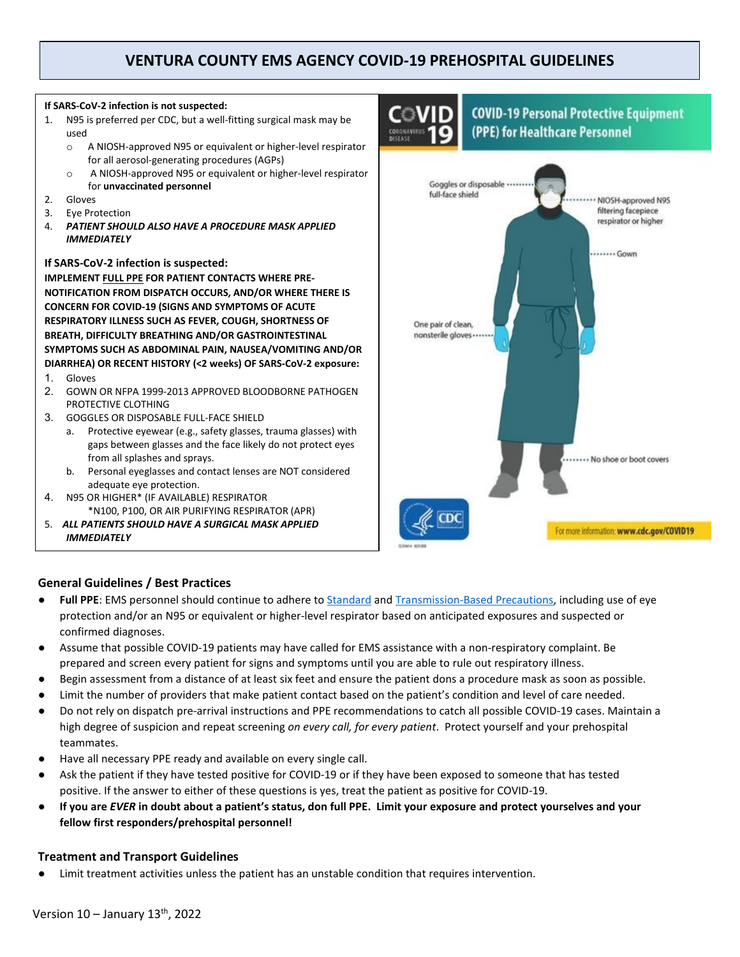# **VENTURA COUNTY EMS AGENCY COVID-19 PREHOSPITAL GUIDELINES**

#### **If SARS-CoV-2 infection is not suspected:**

- 1. N95 is preferred per CDC, but a well-fitting surgical mask may be used
	- o A NIOSH-approved N95 or equivalent or higher-level respirator for all aerosol-generating procedures (AGPs)
	- o A NIOSH-approved N95 or equivalent or higher-level respirator for **unvaccinated personnel**
- 2. Gloves
- 3. Eye Protection
- 4. *PATIENT SHOULD ALSO HAVE A PROCEDURE MASK APPLIED IMMEDIATELY*

#### **If SARS-CoV-2 infection is suspected:**

**IMPLEMENT FULL PPE FOR PATIENT CONTACTS WHERE PRE-NOTIFICATION FROM DISPATCH OCCURS, AND/OR WHERE THERE IS CONCERN FOR COVID-19 (SIGNS AND SYMPTOMS OF ACUTE RESPIRATORY ILLNESS SUCH AS FEVER, COUGH, SHORTNESS OF BREATH, DIFFICULTY BREATHING AND/OR GASTROINTESTINAL SYMPTOMS SUCH AS ABDOMINAL PAIN, NAUSEA/VOMITING AND/OR DIARRHEA) OR RECENT HISTORY (<2 weeks) OF SARS-CoV-2 exposure:**

- 1. Gloves
- 2. GOWN OR NFPA 1999-2013 APPROVED BLOODBORNE PATHOGEN PROTECTIVE CLOTHING
- 3. GOGGLES OR DISPOSABLE FULL-FACE SHIELD
	- a. Protective eyewear (e.g., safety glasses, trauma glasses) with gaps between glasses and the face likely do not protect eyes from all splashes and sprays.
	- b. Personal eyeglasses and contact lenses are NOT considered adequate eye protection.
- 4. N95 OR HIGHER\* (IF AVAILABLE) RESPIRATOR \*N100, P100, OR AIR PURIFYING RESPIRATOR (APR)
- 5. *ALL PATIENTS SHOULD HAVE A SURGICAL MASK APPLIED IMMEDIATELY*



# **COVID-19 Personal Protective Equipment** (PPE) for Healthcare Personnel



## **General Guidelines / Best Practices**

- **Full PPE**: EMS personnel should continue to adhere t[o Standard](https://www.cdc.gov/hicpac/recommendations/core-practices.html) an[d Transmission-Based Precautions,](https://www.cdc.gov/infectioncontrol/guidelines/isolation/index.html) including use of eye protection and/or an N95 or equivalent or higher-level respirator based on anticipated exposures and suspected or confirmed diagnoses.
- Assume that possible COVID-19 patients may have called for EMS assistance with a non-respiratory complaint. Be prepared and screen every patient for signs and symptoms until you are able to rule out respiratory illness.
- Begin assessment from a distance of at least six feet and ensure the patient dons a procedure mask as soon as possible.
- Limit the number of providers that make patient contact based on the patient's condition and level of care needed.
- Do not rely on dispatch pre-arrival instructions and PPE recommendations to catch all possible COVID-19 cases. Maintain a high degree of suspicion and repeat screening *on every call, for every patient*. Protect yourself and your prehospital teammates.
- Have all necessary PPE ready and available on every single call.
- Ask the patient if they have tested positive for COVID-19 or if they have been exposed to someone that has tested positive. If the answer to either of these questions is yes, treat the patient as positive for COVID-19.
- **If you are** *EVER* **in doubt about a patient's status, don full PPE. Limit your exposure and protect yourselves and your fellow first responders/prehospital personnel!**

## **Treatment and Transport Guidelines**

Limit treatment activities unless the patient has an unstable condition that requires intervention.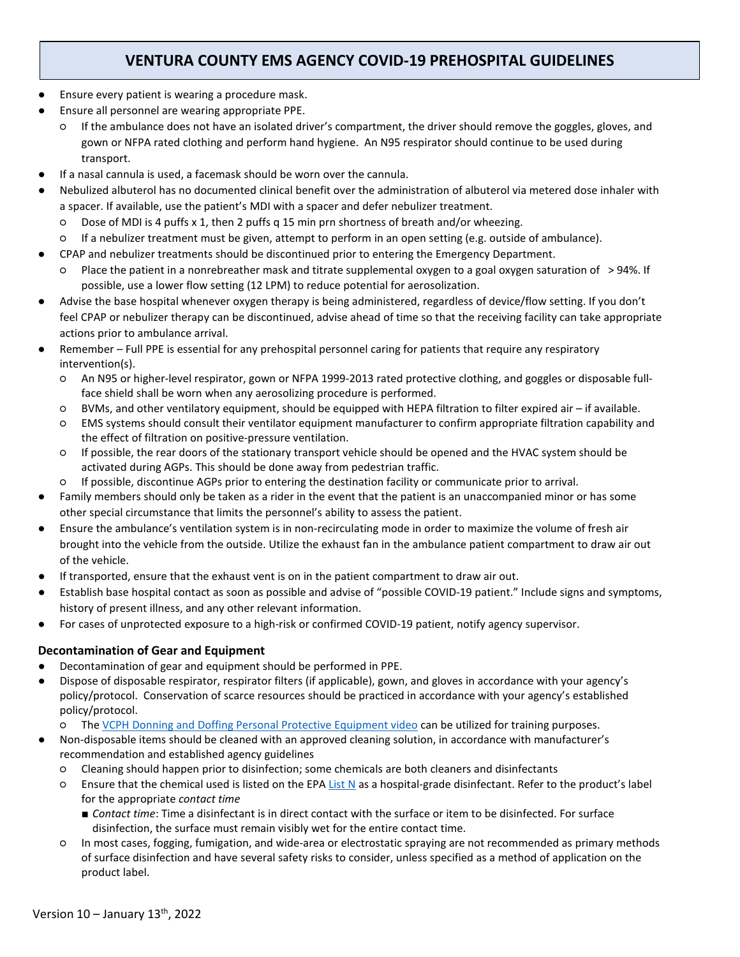# **VENTURA COUNTY EMS AGENCY COVID-19 PREHOSPITAL GUIDELINES**

- Ensure every patient is wearing a procedure mask.
- Ensure all personnel are wearing appropriate PPE.
	- If the ambulance does not have an isolated driver's compartment, the driver should remove the goggles, gloves, and gown or NFPA rated clothing and perform hand hygiene. An N95 respirator should continue to be used during transport.
- If a nasal cannula is used, a facemask should be worn over the cannula.
- Nebulized albuterol has no documented clinical benefit over the administration of albuterol via metered dose inhaler with a spacer. If available, use the patient's MDI with a spacer and defer nebulizer treatment.
	- Dose of MDI is 4 puffs x 1, then 2 puffs q 15 min prn shortness of breath and/or wheezing.
	- If a nebulizer treatment must be given, attempt to perform in an open setting (e.g. outside of ambulance).
	- CPAP and nebulizer treatments should be discontinued prior to entering the Emergency Department.
	- Place the patient in a nonrebreather mask and titrate supplemental oxygen to a goal oxygen saturation of > 94%. If possible, use a lower flow setting (12 LPM) to reduce potential for aerosolization.
- Advise the base hospital whenever oxygen therapy is being administered, regardless of device/flow setting. If you don't feel CPAP or nebulizer therapy can be discontinued, advise ahead of time so that the receiving facility can take appropriate actions prior to ambulance arrival.
- Remember Full PPE is essential for any prehospital personnel caring for patients that require any respiratory intervention(s).
	- An N95 or higher-level respirator, gown or NFPA 1999-2013 rated protective clothing, and goggles or disposable fullface shield shall be worn when any aerosolizing procedure is performed.
	- BVMs, and other ventilatory equipment, should be equipped with HEPA filtration to filter expired air if available.
	- EMS systems should consult their ventilator equipment manufacturer to confirm appropriate filtration capability and the effect of filtration on positive-pressure ventilation.
	- If possible, the rear doors of the stationary transport vehicle should be opened and the HVAC system should be activated during AGPs. This should be done away from pedestrian traffic.
	- If possible, discontinue AGPs prior to entering the destination facility or communicate prior to arrival.
- Family members should only be taken as a rider in the event that the patient is an unaccompanied minor or has some other special circumstance that limits the personnel's ability to assess the patient.
- Ensure the ambulance's ventilation system is in non-recirculating mode in order to maximize the volume of fresh air brought into the vehicle from the outside. Utilize the exhaust fan in the ambulance patient compartment to draw air out of the vehicle.
- If transported, ensure that the exhaust vent is on in the patient compartment to draw air out.
- Establish base hospital contact as soon as possible and advise of "possible COVID-19 patient." Include signs and symptoms, history of present illness, and any other relevant information.
- For cases of unprotected exposure to a high-risk or confirmed COVID-19 patient, notify agency supervisor.

## **Decontamination of Gear and Equipment**

- Decontamination of gear and equipment should be performed in PPE.
- Dispose of disposable respirator, respirator filters (if applicable), gown, and gloves in accordance with your agency's policy/protocol. Conservation of scarce resources should be practiced in accordance with your agency's established policy/protocol.
	- The [VCPH Donning and Doffing Personal Protective Equipment video](https://www.youtube.com/watch?v=tyzGIOdxxp0) can be utilized for training purposes.
- Non-disposable items should be cleaned with an approved cleaning solution, in accordance with manufacturer's recommendation and established agency guidelines
	- Cleaning should happen prior to disinfection; some chemicals are both cleaners and disinfectants
	- Ensure that the chemical used is listed on the EPA [List N](https://www.epa.gov/pesticide-registration/list-n-disinfectants-coronavirus-covid-19) as a hospital-grade disinfectant. Refer to the product's label for the appropriate *contact time*
		- *Contact time*: Time a disinfectant is in direct contact with the surface or item to be disinfected. For surface disinfection, the surface must remain visibly wet for the entire contact time.
	- In most cases, fogging, fumigation, and wide-area or electrostatic spraying are not recommended as primary methods of surface disinfection and have several safety risks to consider, unless specified as a method of application on the product label.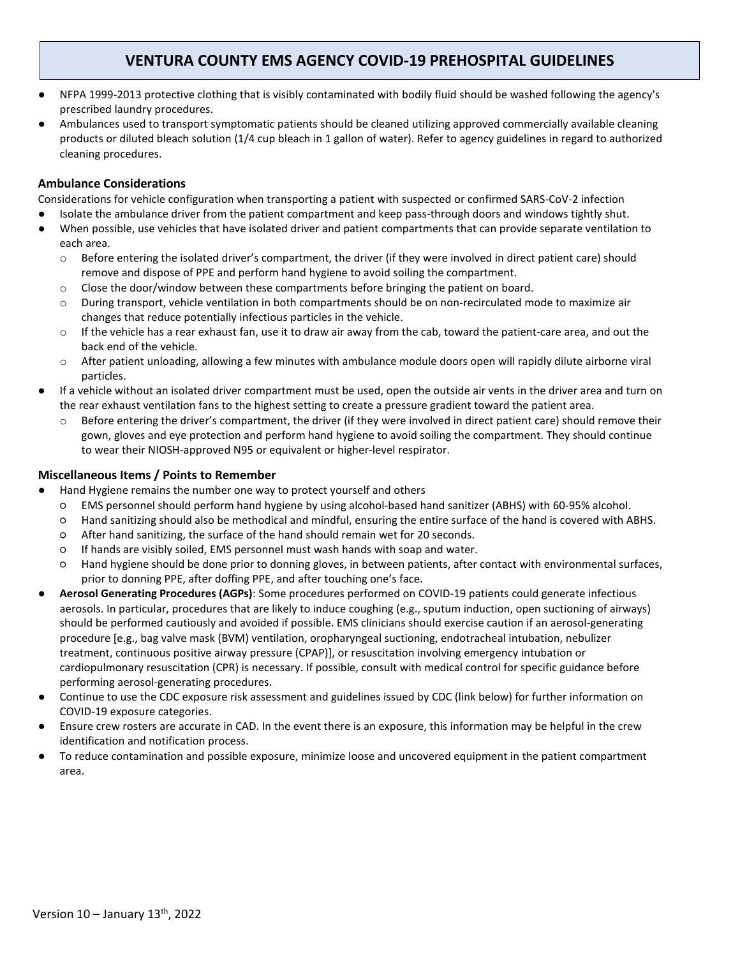# **VENTURA COUNTY EMS AGENCY COVID-19 PREHOSPITAL GUIDELINES**

- NFPA 1999-2013 protective clothing that is visibly contaminated with bodily fluid should be washed following the agency's prescribed laundry procedures.
- Ambulances used to transport symptomatic patients should be cleaned utilizing approved commercially available cleaning products or diluted bleach solution (1/4 cup bleach in 1 gallon of water). Refer to agency guidelines in regard to authorized cleaning procedures.

### **Ambulance Considerations**

Considerations for vehicle configuration when transporting a patient with suspected or confirmed SARS-CoV-2 infection

- Isolate the ambulance driver from the patient compartment and keep pass-through doors and windows tightly shut.
- When possible, use vehicles that have isolated driver and patient compartments that can provide separate ventilation to each area.
	- $\circ$  Before entering the isolated driver's compartment, the driver (if they were involved in direct patient care) should remove and dispose of PPE and perform hand hygiene to avoid soiling the compartment.
	- $\circ$  Close the door/window between these compartments before bringing the patient on board.
	- o During transport, vehicle ventilation in both compartments should be on non-recirculated mode to maximize air changes that reduce potentially infectious particles in the vehicle.
	- $\circ$  If the vehicle has a rear exhaust fan, use it to draw air away from the cab, toward the patient-care area, and out the back end of the vehicle.
	- $\circ$  After patient unloading, allowing a few minutes with ambulance module doors open will rapidly dilute airborne viral particles.
- If a vehicle without an isolated driver compartment must be used, open the outside air vents in the driver area and turn on the rear exhaust ventilation fans to the highest setting to create a pressure gradient toward the patient area.
	- $\circ$  Before entering the driver's compartment, the driver (if they were involved in direct patient care) should remove their gown, gloves and eye protection and perform hand hygiene to avoid soiling the compartment. They should continue to wear their NIOSH-approved N95 or equivalent or higher-level respirator.

### **Miscellaneous Items / Points to Remember**

- Hand Hygiene remains the number one way to protect yourself and others
	- EMS personnel should perform hand hygiene by using alcohol-based hand sanitizer (ABHS) with 60-95% alcohol.
	- Hand sanitizing should also be methodical and mindful, ensuring the entire surface of the hand is covered with ABHS.
	- After hand sanitizing, the surface of the hand should remain wet for 20 seconds.
	- If hands are visibly soiled, EMS personnel must wash hands with soap and water.
	- Hand hygiene should be done prior to donning gloves, in between patients, after contact with environmental surfaces, prior to donning PPE, after doffing PPE, and after touching one's face.
- **Aerosol Generating Procedures (AGPs)**: Some procedures performed on COVID-19 patients could generate infectious aerosols. In particular, procedures that are likely to induce coughing (e.g., sputum induction, open suctioning of airways) should be performed cautiously and avoided if possible. EMS clinicians should exercise caution if an aerosol-generating procedure [e.g., bag valve mask (BVM) ventilation, oropharyngeal suctioning, endotracheal intubation, nebulizer treatment, continuous positive airway pressure (CPAP)], or resuscitation involving emergency intubation or cardiopulmonary resuscitation (CPR) is necessary. If possible, consult with medical control for specific guidance before performing aerosol-generating procedures.
- Continue to use the CDC exposure risk assessment and guidelines issued by CDC (link below) for further information on COVID-19 exposure categories.
- Ensure crew rosters are accurate in CAD. In the event there is an exposure, this information may be helpful in the crew identification and notification process.
- To reduce contamination and possible exposure, minimize loose and uncovered equipment in the patient compartment area.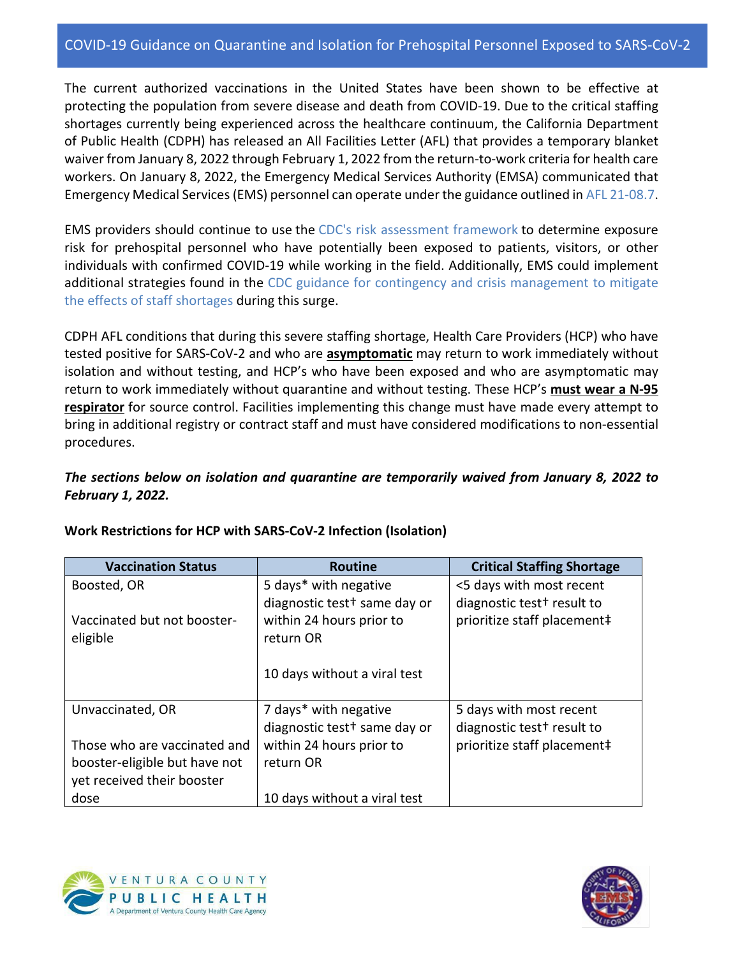The current authorized vaccinations in the United States have been shown to be effective at protecting the population from severe disease and death from COVID-19. Due to the critical staffing shortages currently being experienced across the healthcare continuum, the California Department of Public Health (CDPH) has released an All Facilities Letter (AFL) that provides a temporary blanket waiver from January 8, 2022 through February 1, 2022 from the return-to-work criteria for health care workers. On January 8, 2022, the Emergency Medical Services Authority (EMSA) communicated that Emergency Medical Services(EMS) personnel can operate under the guidance outlined in [AFL 21-08.7.](https://www.cdph.ca.gov/Programs/CHCQ/LCP/Pages/AFL-21-08.aspx)

EMS providers should continue to use the [CDC's risk assessment framework](https://www.cdc.gov/coronavirus/2019-ncov/hcp/guidance-risk-assesment-hcp.html) to determine exposure risk for prehospital personnel who have potentially been exposed to patients, visitors, or other individuals with confirmed COVID-19 while working in the field. Additionally, EMS could implement additional strategies found in the CDC guidance for contingency and crisis management to mitigate [the effects of staff shortages](https://www.cdc.gov/coronavirus/2019-ncov/hcp/mitigating-staff-shortages.html) during this surge.

CDPH AFL conditions that during this severe staffing shortage, Health Care Providers (HCP) who have tested positive for SARS-CoV-2 and who are **asymptomatic** may return to work immediately without isolation and without testing, and HCP's who have been exposed and who are asymptomatic may return to work immediately without quarantine and without testing. These HCP's **must wear a N-95 respirator** for source control. Facilities implementing this change must have made every attempt to bring in additional registry or contract staff and must have considered modifications to non-essential procedures.

# *The sections below on isolation and quarantine are temporarily waived from January 8, 2022 to February 1, 2022.*

| <b>Vaccination Status</b>     | <b>Routine</b>                           | <b>Critical Staffing Shortage</b>      |
|-------------------------------|------------------------------------------|----------------------------------------|
| Boosted, OR                   | 5 days* with negative                    | <5 days with most recent               |
|                               | diagnostic test <sup>+</sup> same day or | diagnostic test <sup>+</sup> result to |
| Vaccinated but not booster-   | within 24 hours prior to                 | prioritize staff placement‡            |
| eligible                      | return OR                                |                                        |
|                               |                                          |                                        |
|                               | 10 days without a viral test             |                                        |
|                               |                                          |                                        |
| Unvaccinated, OR              | 7 days* with negative                    | 5 days with most recent                |
|                               | diagnostic test <sup>+</sup> same day or | diagnostic test <sup>+</sup> result to |
| Those who are vaccinated and  | within 24 hours prior to                 | prioritize staff placement‡            |
| booster-eligible but have not | return OR                                |                                        |
| yet received their booster    |                                          |                                        |
| dose                          | 10 days without a viral test             |                                        |

# **Work Restrictions for HCP with SARS-CoV-2 Infection (Isolation)**



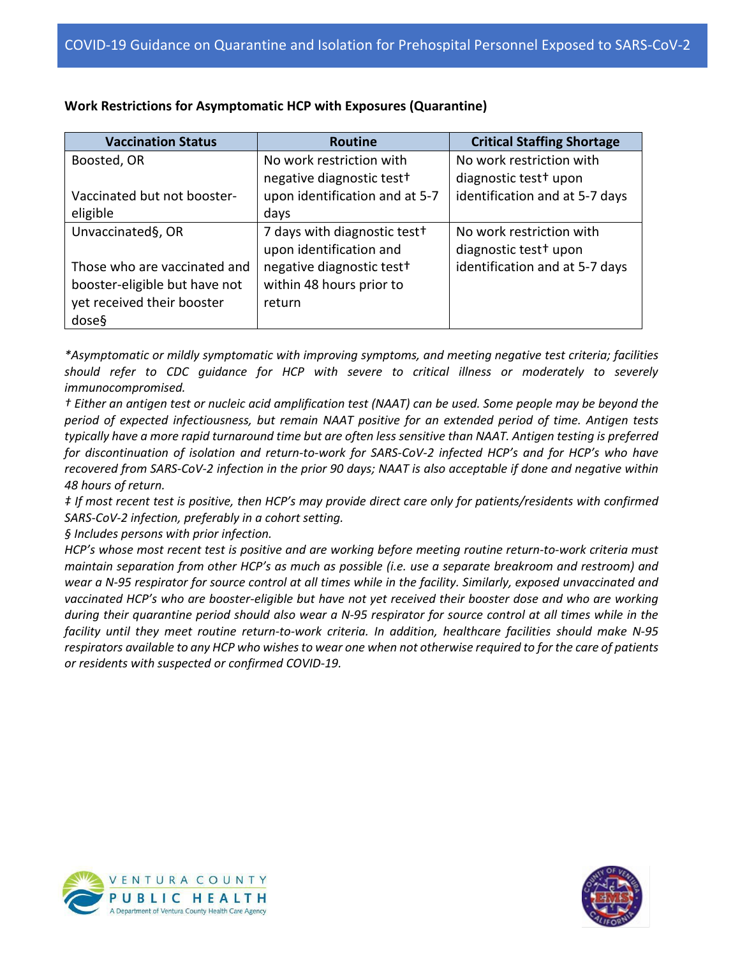| <b>Vaccination Status</b>     | <b>Routine</b>                           | <b>Critical Staffing Shortage</b> |
|-------------------------------|------------------------------------------|-----------------------------------|
| Boosted, OR                   | No work restriction with                 | No work restriction with          |
|                               | negative diagnostic test <sup>+</sup>    | diagnostic test <sup>+</sup> upon |
| Vaccinated but not booster-   | upon identification and at 5-7           | identification and at 5-7 days    |
| eligible                      | days                                     |                                   |
| Unvaccinated§, OR             | 7 days with diagnostic test <sup>+</sup> | No work restriction with          |
|                               | upon identification and                  | diagnostic test <sup>+</sup> upon |
| Those who are vaccinated and  | negative diagnostic test <sup>+</sup>    | identification and at 5-7 days    |
| booster-eligible but have not | within 48 hours prior to                 |                                   |
| yet received their booster    | return                                   |                                   |
| dose§                         |                                          |                                   |

**Work Restrictions for Asymptomatic HCP with Exposures (Quarantine)**

*\*Asymptomatic or mildly symptomatic with improving symptoms, and meeting negative test criteria; facilities should refer to CDC guidance for HCP with severe to critical illness or moderately to severely immunocompromised.*

*† Either an antigen test or nucleic acid amplification test (NAAT) can be used. Some people may be beyond the period of expected infectiousness, but remain NAAT positive for an extended period of time. Antigen tests typically have a more rapid turnaround time but are often less sensitive than NAAT. Antigen testing is preferred for discontinuation of isolation and return-to-work for SARS-CoV-2 infected HCP's and for HCP's who have recovered from SARS-CoV-2 infection in the prior 90 days; NAAT is also acceptable if done and negative within 48 hours of return.*

*‡ If most recent test is positive, then HCP's may provide direct care only for patients/residents with confirmed SARS-CoV-2 infection, preferably in a cohort setting.*

*§ Includes persons with prior infection.*

*HCP's whose most recent test is positive and are working before meeting routine return-to-work criteria must maintain separation from other HCP's as much as possible (i.e. use a separate breakroom and restroom) and wear a N-95 respirator for source control at all times while in the facility. Similarly, exposed unvaccinated and vaccinated HCP's who are booster-eligible but have not yet received their booster dose and who are working during their quarantine period should also wear a N-95 respirator for source control at all times while in the facility until they meet routine return-to-work criteria. In addition, healthcare facilities should make N-95 respirators available to any HCP who wishes to wear one when not otherwise required to for the care of patients or residents with suspected or confirmed COVID-19.*



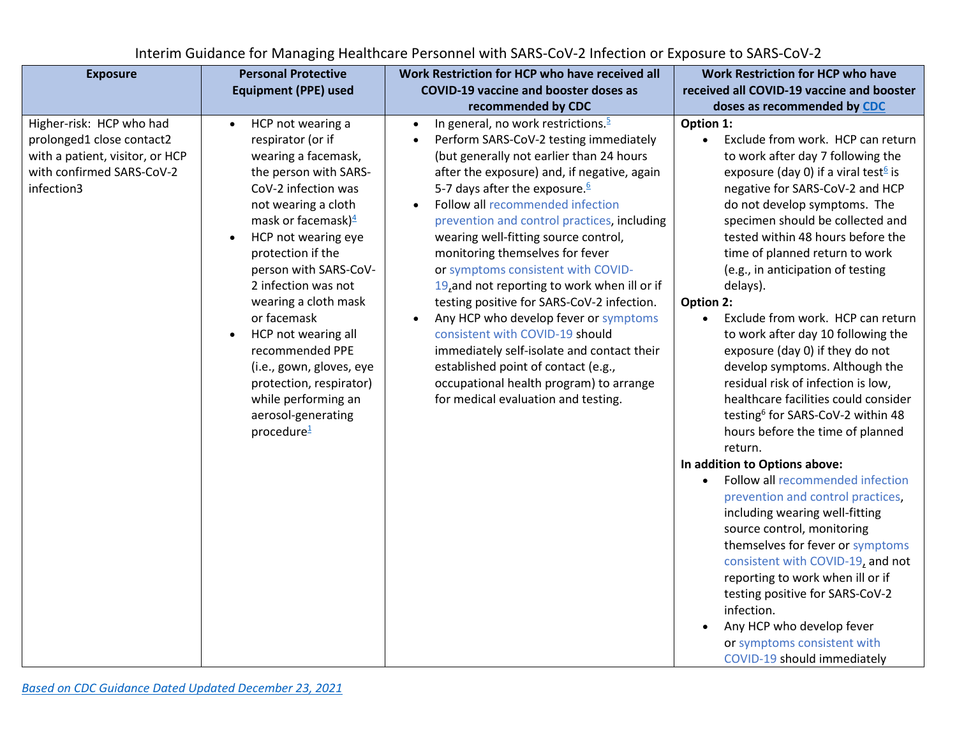**Exposure Personal Protective Equipment (PPE) used Work Restriction for HCP who have received all COVID-19 vaccine and booster doses as recommended by CDC Work Restriction for HCP who have received all COVID-19 vaccine and booster doses as recommended by [CDC](https://www.cdc.gov/vaccines/covid-19/clinical-considerations/covid-19-vaccines-us.html)** Higher-risk: HCP who had prolonged1 close contact2 with a patient, visitor, or HCP with confirmed SARS-CoV-2 infection3 • HCP not wearing a respirator (or if wearing a facemask, the person with SARS-CoV-2 infection was not wearing a cloth mask or facemask) $\frac{4}{7}$ • HCP not wearing eye protection if the person with SARS-CoV-2 infection was not wearing a cloth mask or facemask • HCP not wearing all recommended PPE (i.e., gown, gloves, eye protection, respirator) while performing an aerosol-generating procedure $1$ • In general, no work restrictions. $\frac{5}{2}$ • Perform SARS-CoV-2 testing immediately (but generally not earlier than 24 hours after the exposure) and, if negative, again 5-7 days after the exposure. $6$ • Follow all [recommended infection](https://www.cdc.gov/coronavirus/2019-ncov/hcp/infection-control-recommendations.html)  [prevention and control practices,](https://www.cdc.gov/coronavirus/2019-ncov/hcp/infection-control-recommendations.html) including wearing well-fitting source control, monitoring themselves for fever or [symptoms consistent with COVID-](https://www.cdc.gov/coronavirus/2019-ncov/symptoms-testing/symptoms.html)[19,](https://www.cdc.gov/coronavirus/2019-ncov/symptoms-testing/symptoms.html) and not reporting to work when ill or if testing positive for SARS-CoV-2 infection. • Any HCP who develop fever or symptoms [consistent with COVID-19](https://www.cdc.gov/coronavirus/2019-ncov/symptoms-testing/symptoms.html) should immediately self-isolate and contact their established point of contact (e.g., occupational health program) to arrange for medical evaluation and testing. **Option 1:** • Exclude from work. HCP can return to work after day 7 following the exposure (day 0) if a viral test<sup>6</sup> is negative for SARS-CoV-2 and HCP do not develop symptoms. The specimen should be collected and tested within 48 hours before the time of planned return to work (e.g., in anticipation of testing delays). **Option 2:** Exclude from work. HCP can return to work after day 10 following the exposure (day 0) if they do not develop symptoms. Although the residual risk of infection is low, healthcare facilities could consider testing<sup>6</sup> for SARS-CoV-2 within 48 hours before the time of planned return. **In addition to Options above:** • Follow all [recommended infection](https://www.cdc.gov/coronavirus/2019-ncov/hcp/infection-control-recommendations.html)  [prevention and control practices,](https://www.cdc.gov/coronavirus/2019-ncov/hcp/infection-control-recommendations.html) including wearing well-fitting source control, monitoring themselves for fever or [symptoms](https://www.cdc.gov/coronavirus/2019-ncov/symptoms-testing/symptoms.html)  [consistent with COVID-19,](https://www.cdc.gov/coronavirus/2019-ncov/symptoms-testing/symptoms.html) and not reporting to work when ill or if testing positive for SARS-CoV-2 infection. • Any HCP who develop fever or [symptoms consistent with](https://www.cdc.gov/coronavirus/2019-ncov/symptoms-testing/symptoms.html)  [COVID-19](https://www.cdc.gov/coronavirus/2019-ncov/symptoms-testing/symptoms.html) should immediately

Interim Guidance for Managing Healthcare Personnel with SARS-CoV-2 Infection or Exposure to SARS-CoV-2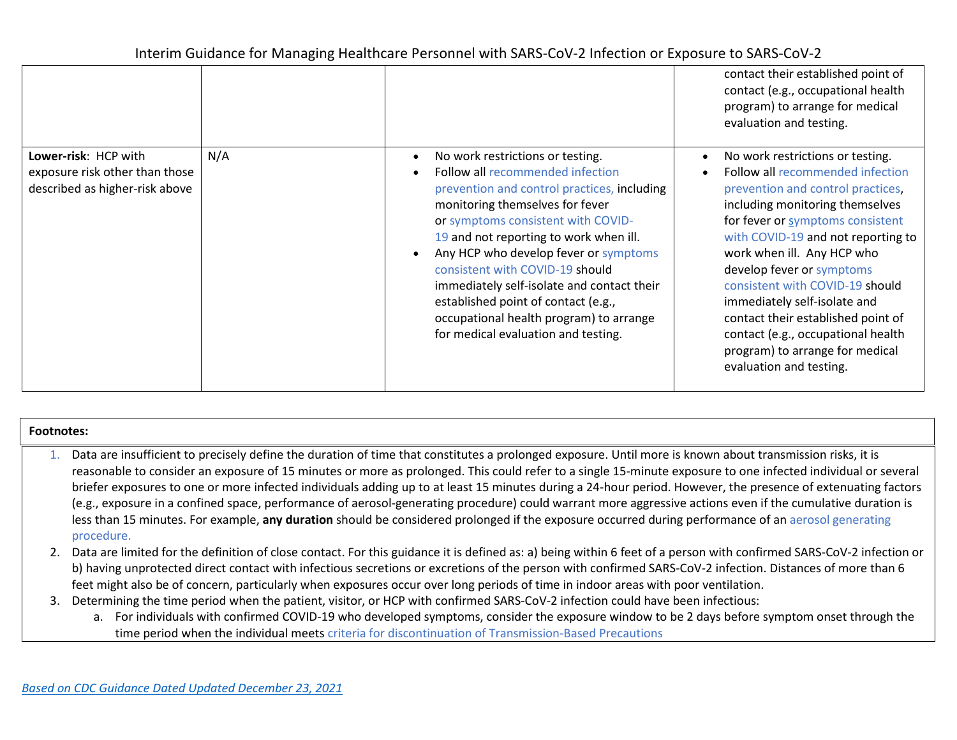|                                                                                          |     |                                                                                                                                                                                                                                                                                                                                                                                                                                                                                                               | contact their established point of<br>contact (e.g., occupational health<br>program) to arrange for medical<br>evaluation and testing.                                                                                                                                                                                                                                                                                                                                                                                   |
|------------------------------------------------------------------------------------------|-----|---------------------------------------------------------------------------------------------------------------------------------------------------------------------------------------------------------------------------------------------------------------------------------------------------------------------------------------------------------------------------------------------------------------------------------------------------------------------------------------------------------------|--------------------------------------------------------------------------------------------------------------------------------------------------------------------------------------------------------------------------------------------------------------------------------------------------------------------------------------------------------------------------------------------------------------------------------------------------------------------------------------------------------------------------|
| Lower-risk: HCP with<br>exposure risk other than those<br>described as higher-risk above | N/A | No work restrictions or testing.<br><b>Follow all recommended infection</b><br>prevention and control practices, including<br>monitoring themselves for fever<br>or symptoms consistent with COVID-<br>19 and not reporting to work when ill.<br>Any HCP who develop fever or symptoms<br>$\bullet$<br>consistent with COVID-19 should<br>immediately self-isolate and contact their<br>established point of contact (e.g.,<br>occupational health program) to arrange<br>for medical evaluation and testing. | No work restrictions or testing.<br>$\bullet$<br>Follow all recommended infection<br>$\bullet$<br>prevention and control practices,<br>including monitoring themselves<br>for fever or symptoms consistent<br>with COVID-19 and not reporting to<br>work when ill. Any HCP who<br>develop fever or symptoms<br>consistent with COVID-19 should<br>immediately self-isolate and<br>contact their established point of<br>contact (e.g., occupational health<br>program) to arrange for medical<br>evaluation and testing. |

### **Footnotes:**

- 1. Data are insufficient to precisely define the duration of time that constitutes a prolonged exposure. Until more is known about transmission risks, it is reasonable to consider an exposure of 15 minutes or more as prolonged. This could refer to a single 15-minute exposure to one infected individual or several briefer exposures to one or more infected individuals adding up to at least 15 minutes during a 24-hour period. However, the presence of extenuating factors (e.g., exposure in a confined space, performance of aerosol-generating procedure) could warrant more aggressive actions even if the cumulative duration is less than 15 minutes. For example, **any duration** should be considered prolonged if the exposure occurred during performance of an [aerosol generating](https://www.cdc.gov/coronavirus/2019-ncov/hcp/faq.html)  [procedure.](https://www.cdc.gov/coronavirus/2019-ncov/hcp/faq.html)
- 2. Data are limited for the definition of close contact. For this guidance it is defined as: a) being within 6 feet of a person with confirmed SARS-CoV-2 infection or b) having unprotected direct contact with infectious secretions or excretions of the person with confirmed SARS-CoV-2 infection. Distances of more than 6 feet might also be of concern, particularly when exposures occur over long periods of time in indoor areas with poor ventilation.
- 3. Determining the time period when the patient, visitor, or HCP with confirmed SARS-CoV-2 infection could have been infectious:
	- a. For individuals with confirmed COVID-19 who developed symptoms, consider the exposure window to be 2 days before symptom onset through the time period when the individual meets [criteria for discontinuation of Transmission-Based Precautions](https://www.cdc.gov/coronavirus/2019-ncov/hcp/disposition-hospitalized-patients.html)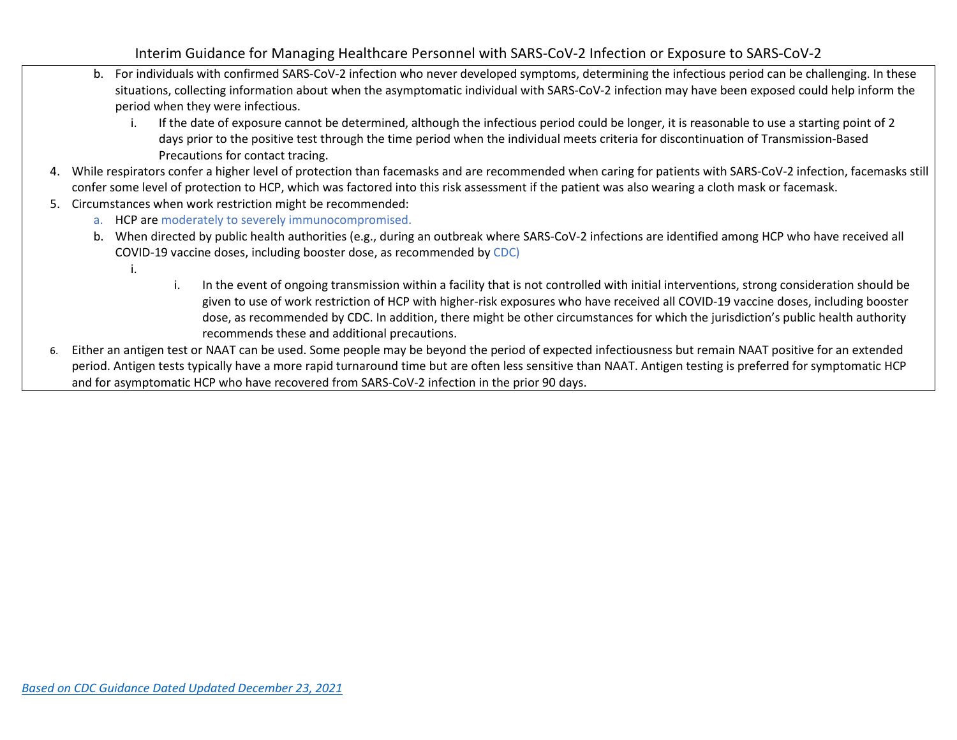- b. For individuals with confirmed SARS-CoV-2 infection who never developed symptoms, determining the infectious period can be challenging. In these situations, collecting information about when the asymptomatic individual with SARS-CoV-2 infection may have been exposed could help inform the period when they were infectious.
	- i. If the date of exposure cannot be determined, although the infectious period could be longer, it is reasonable to use a starting point of 2 days prior to the positive test through the time period when the individual meets criteria for discontinuation of Transmission-Based Precautions for contact tracing.
- 4. While respirators confer a higher level of protection than facemasks and are recommended when caring for patients with SARS-CoV-2 infection, facemasks still confer some level of protection to HCP, which was factored into this risk assessment if the patient was also wearing a cloth mask or facemask.
- 5. Circumstances when work restriction might be recommended:
	- a. HCP are [moderately to severely immunocompromised.](https://www.cdc.gov/coronavirus/2019-ncov/hcp/guidance-risk-assesment-hcp.html#Immunocompromised)
	- b. When directed by public health authorities (e.g., during an outbreak where SARS-CoV-2 infections are identified among HCP who have received all COVID-19 vaccine doses, including booster dose, as recommended by [CDC\)](https://www.cdc.gov/vaccines/covid-19/clinical-considerations/covid-19-vaccines-us.html)
		- i.
- i. In the event of ongoing transmission within a facility that is not controlled with initial interventions, strong consideration should be given to use of work restriction of HCP with higher-risk exposures who have received all COVID-19 vaccine doses, including booster dose, as recommended by CDC. In addition, there might be other circumstances for which the jurisdiction's public health authority recommends these and additional precautions.
- 6. Either an antigen test or NAAT can be used. Some people may be beyond the period of expected infectiousness but remain NAAT positive for an extended period. Antigen tests typically have a more rapid turnaround time but are often less sensitive than NAAT. Antigen testing is preferred for symptomatic HCP and for asymptomatic HCP who have recovered from SARS-CoV-2 infection in the prior 90 days.